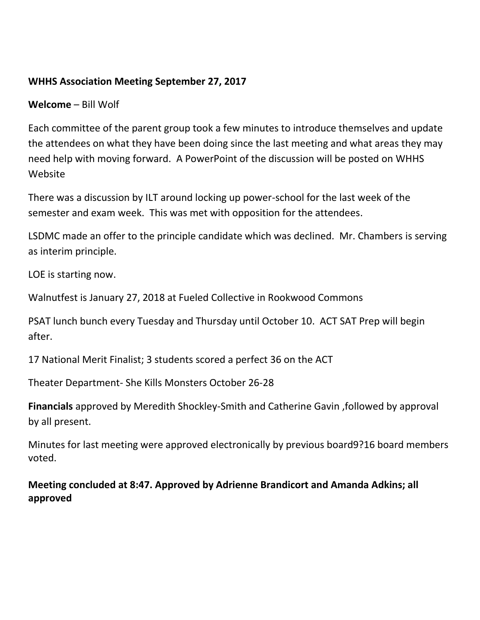#### **WHHS Association Meeting September 27, 2017**

**Welcome** – Bill Wolf

Each committee of the parent group took a few minutes to introduce themselves and update the attendees on what they have been doing since the last meeting and what areas they may need help with moving forward. A PowerPoint of the discussion will be posted on WHHS Website

There was a discussion by ILT around locking up power-school for the last week of the semester and exam week. This was met with opposition for the attendees.

LSDMC made an offer to the principle candidate which was declined. Mr. Chambers is serving as interim principle.

LOE is starting now.

Walnutfest is January 27, 2018 at Fueled Collective in Rookwood Commons

PSAT lunch bunch every Tuesday and Thursday until October 10. ACT SAT Prep will begin after.

17 National Merit Finalist; 3 students scored a perfect 36 on the ACT

Theater Department- She Kills Monsters October 26-28

**Financials** approved by Meredith Shockley-Smith and Catherine Gavin ,followed by approval by all present.

Minutes for last meeting were approved electronically by previous board9?16 board members voted.

**Meeting concluded at 8:47. Approved by Adrienne Brandicort and Amanda Adkins; all approved**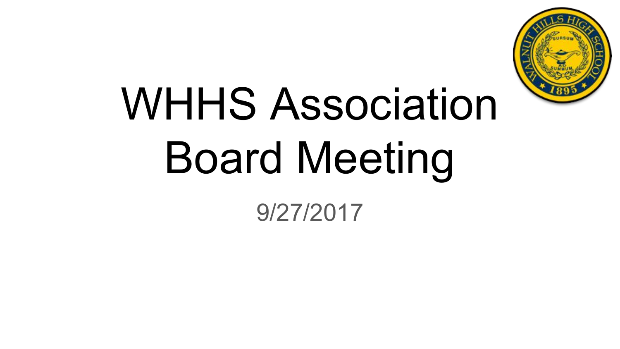

# WHHS Association Board Meeting

9/27/2017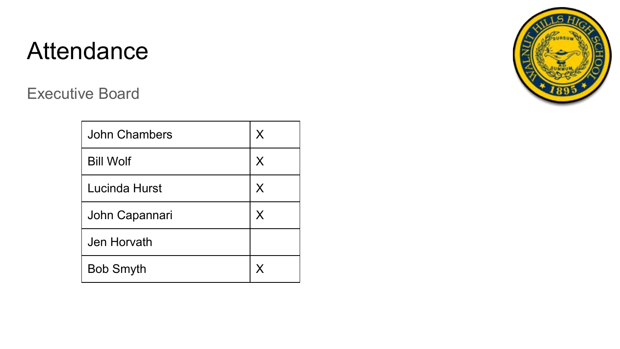Executive Board

| <b>John Chambers</b> | X |
|----------------------|---|
| <b>Bill Wolf</b>     | X |
| Lucinda Hurst        | X |
| John Capannari       | X |
| Jen Horvath          |   |
| <b>Bob Smyth</b>     | X |

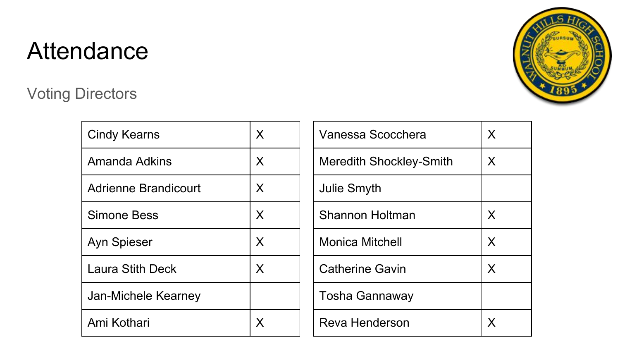### Voting Directors



| <b>Cindy Kearns</b>         | X | V  |
|-----------------------------|---|----|
| Amanda Adkins               | X | M  |
| <b>Adrienne Brandicourt</b> | X | Jι |
| <b>Simone Bess</b>          | X | S  |
| <b>Ayn Spieser</b>          | X | M  |
| <b>Laura Stith Deck</b>     | X | С  |
| Jan-Michele Kearney         |   | Т٥ |
| Ami Kothari                 |   | R  |

| Vanessa Scocchera              | X |
|--------------------------------|---|
| <b>Meredith Shockley-Smith</b> | X |
| Julie Smyth                    |   |
| Shannon Holtman                | X |
| <b>Monica Mitchell</b>         | X |
| <b>Catherine Gavin</b>         | X |
| <b>Tosha Gannaway</b>          |   |
| Reva Henderson                 | x |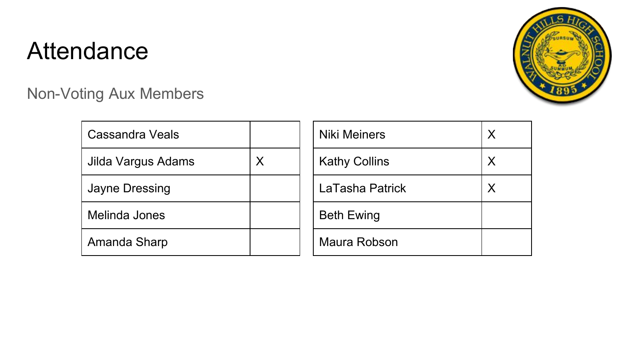Non-Voting Aux Members



| Cassandra Veals    |   |  |
|--------------------|---|--|
| Jilda Vargus Adams | Х |  |
| Jayne Dressing     |   |  |
| Melinda Jones      |   |  |
| Amanda Sharp       |   |  |

| <b>Niki Meiners</b>  | X |
|----------------------|---|
| <b>Kathy Collins</b> | X |
| LaTasha Patrick      | X |
| <b>Beth Ewing</b>    |   |
| Maura Robson         |   |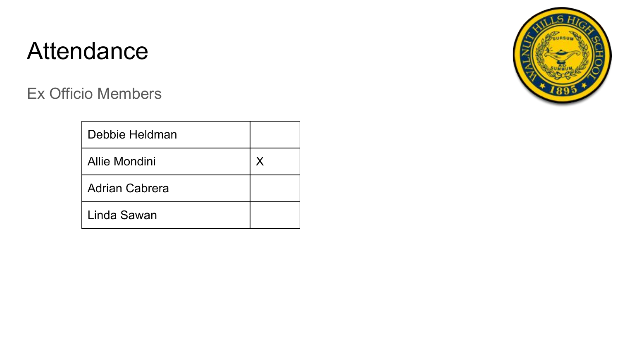Ex Officio Members

| Debbie Heldman        |  |
|-----------------------|--|
| Allie Mondini         |  |
| <b>Adrian Cabrera</b> |  |
| Linda Sawan           |  |

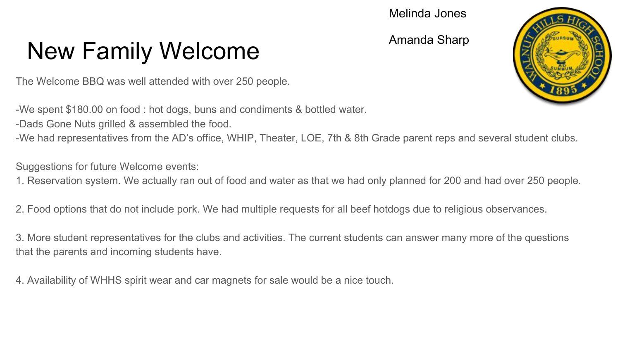#### Melinda Jones

Amanda Sharp

# New Family Welcome

The Welcome BBQ was well attended with over 250 people.

-We spent \$180.00 on food : hot dogs, buns and condiments & bottled water.

-Dads Gone Nuts grilled & assembled the food.

-We had representatives from the AD's office, WHIP, Theater, LOE, 7th & 8th Grade parent reps and several student clubs.

Suggestions for future Welcome events:

1. Reservation system. We actually ran out of food and water as that we had only planned for 200 and had over 250 people.

2. Food options that do not include pork. We had multiple requests for all beef hotdogs due to religious observances.

3. More student representatives for the clubs and activities. The current students can answer many more of the questions that the parents and incoming students have.

4. Availability of WHHS spirit wear and car magnets for sale would be a nice touch.

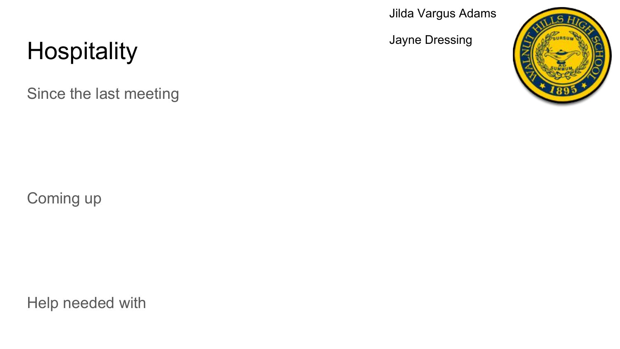Jilda Vargus Adams

Jayne Dressing



# **Hospitality**

Since the last meeting

Coming up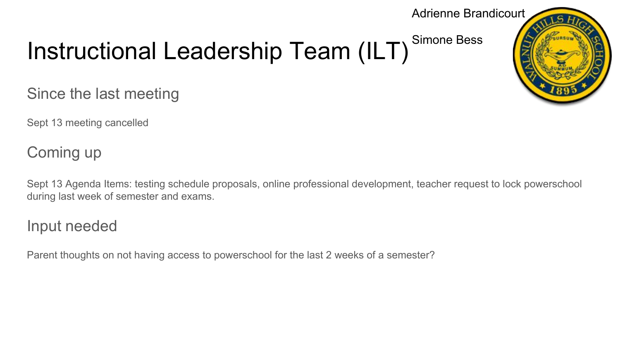#### Adrienne Brandicourt

#### Instructional Leadership Team (ILT) Simone Bess

Since the last meeting

Sept 13 meeting cancelled

Coming up

Sept 13 Agenda Items: testing schedule proposals, online professional development, teacher request to lock powerschool during last week of semester and exams.

Input needed

Parent thoughts on not having access to powerschool for the last 2 weeks of a semester?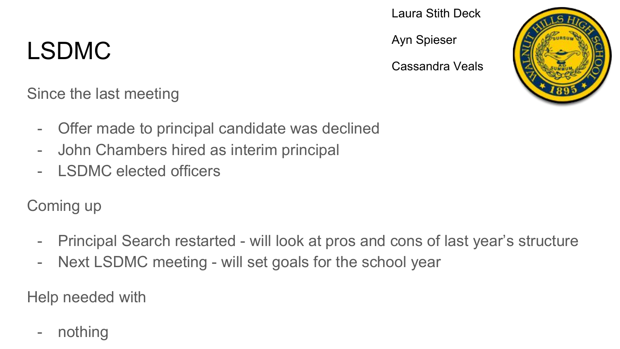# LSDMC

Laura Stith Deck

Ayn Spieser

Cassandra Veals

Since the last meeting

- Offer made to principal candidate was declined
- John Chambers hired as interim principal
- I SDMC elected officers

Coming up

- Principal Search restarted will look at pros and cons of last year's structure
- Next LSDMC meeting will set goals for the school year

Help needed with

- nothing

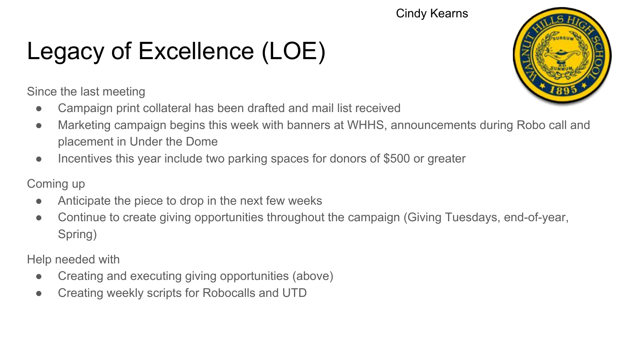#### Cindy Kearns

# Legacy of Excellence (LOE)

Since the last meeting

- Campaign print collateral has been drafted and mail list received
- Marketing campaign begins this week with banners at WHHS, announcements during Robo call and placement in Under the Dome
- Incentives this year include two parking spaces for donors of \$500 or greater

#### Coming up

- Anticipate the piece to drop in the next few weeks
- Continue to create giving opportunities throughout the campaign (Giving Tuesdays, end-of-year, Spring)

- Creating and executing giving opportunities (above)
- Creating weekly scripts for Robocalls and UTD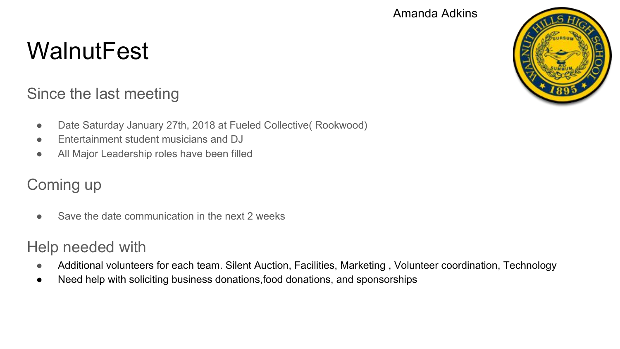#### Amanda Adkins

## **WalnutFest**

### Since the last meeting

- Date Saturday January 27th, 2018 at Fueled Collective( Rookwood)
- Entertainment student musicians and DJ
- All Major Leadership roles have been filled

### Coming up

● Save the date communication in the next 2 weeks

- Additional volunteers for each team. Silent Auction, Facilities, Marketing, Volunteer coordination, Technology
- Need help with soliciting business donations,food donations, and sponsorships

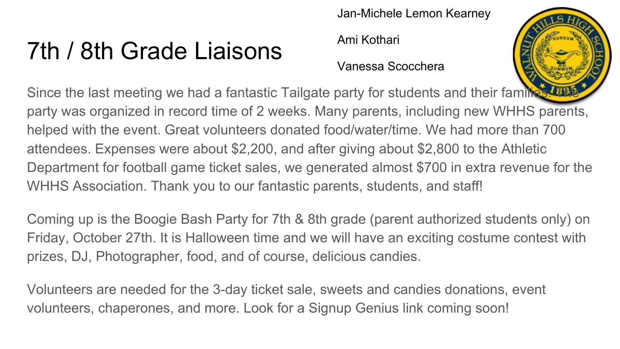# 7th / 8th Grade Liaisons

Jan-Michele Lemon Kearney

Ami Kothari

#### Vanessa Scocchera



Since the last meeting we had a fantastic Tailgate party for students and their families party was organized in record time of 2 weeks. Many parents, including new WHHS parents, helped with the event. Great volunteers donated food/water/time. We had more than 700 attendees. Expenses were about \$2,200, and after giving about \$2,800 to the Athletic Department for football game ticket sales, we generated almost \$700 in extra revenue for the WHHS Association. Thank you to our fantastic parents, students, and staff!

Coming up is the Boogie Bash Party for 7th & 8th grade (parent authorized students only) on Friday, October 27th. It is Halloween time and we will have an exciting costume contest with prizes, DJ, Photographer, food, and of course, delicious candies.

Volunteers are needed for the 3-day ticket sale, sweets and candies donations, event volunteers, chaperones, and more. Look for a Signup Genius link coming soon!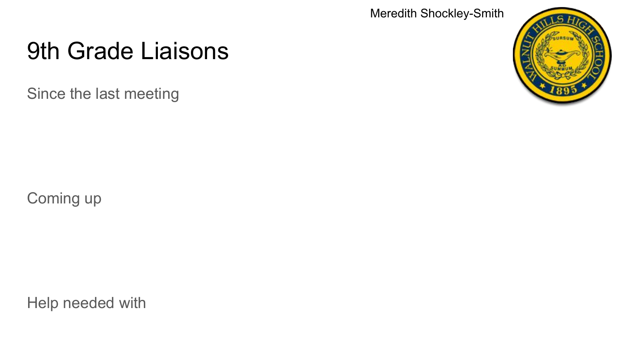Meredith Shockley-Smith

# 9th Grade Liaisons

Since the last meeting



Coming up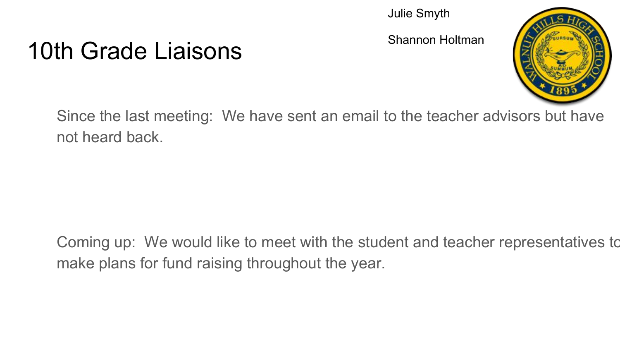#### Julie Smyth

Shannon Holtman



### 10th Grade Liaisons

Since the last meeting: We have sent an email to the teacher advisors but have not heard back.

Coming up: We would like to meet with the student and teacher representatives to make plans for fund raising throughout the year.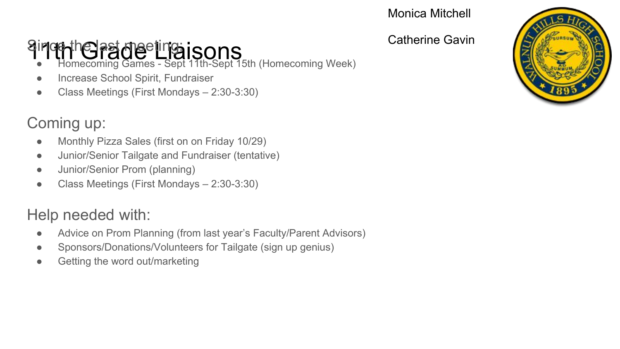Catherine Gavin

# Since the last meeting isons<br>• Homecoming Games - Sept 11th-Sept 15th (Homecoming Week)

- 
- Increase School Spirit, Fundraiser
- Class Meetings (First Mondays 2:30-3:30)

### Coming up:

- Monthly Pizza Sales (first on on Friday 10/29)
- Junior/Senior Tailgate and Fundraiser (tentative)
- Junior/Senior Prom (planning)
- Class Meetings (First Mondays 2:30-3:30)

- Advice on Prom Planning (from last year's Faculty/Parent Advisors)
- Sponsors/Donations/Volunteers for Tailgate (sign up genius)
- Getting the word out/marketing

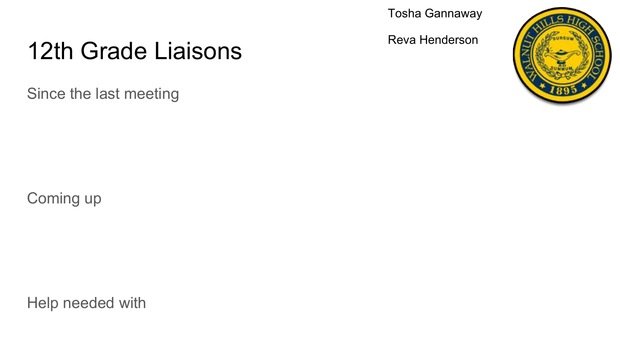Tosha Gannaway

Reva Henderson



Since the last meeting



Coming up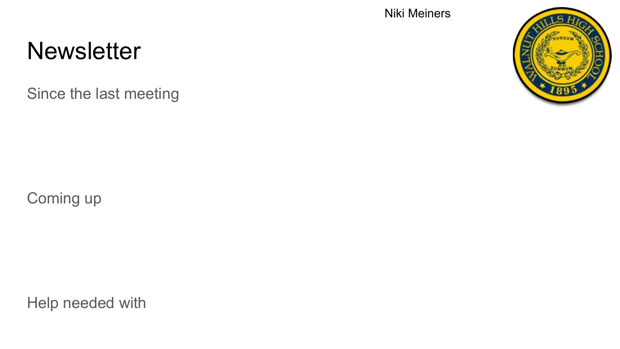### **Newsletter**

Since the last meeting



Niki Meiners

Coming up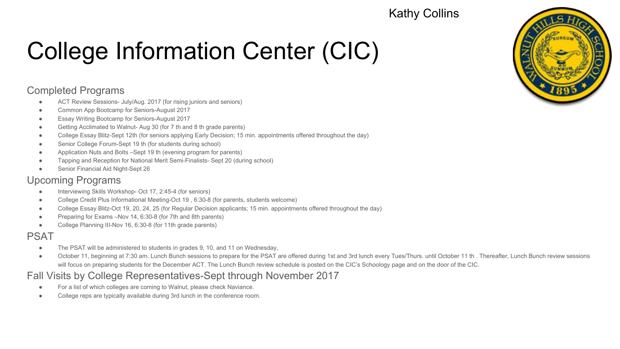#### Kathy Collins

# College Information Center (CIC)

#### Completed Programs

- ACT Review Sessions- July/Aug. 2017 (for rising juniors and seniors)
- Common App Bootcamp for Seniors-August 2017
- **Essay Writing Bootcamp for Seniors-August 2017**
- Getting Acclimated to Walnut- Aug 30 (for 7 th and 8 th grade parents)
- College Essay Blitz-Sept 12th (for seniors applying Early Decision; 15 min. appointments offered throughout the day)
- Senior College Forum-Sept 19 th (for students during school)
- Application Nuts and Bolts –Sept 19 th (evening program for parents)
- Tapping and Reception for National Merit Semi-Finalists- Sept 20 (during school)
- Senior Financial Aid Night-Sept 26

#### Upcoming Programs

- Interviewing Skills Workshop- Oct 17, 2:45-4 (for seniors)
- College Credit Plus Informational Meeting-Oct 19, 6:30-8 (for parents, students welcome)
- College Essay Blitz-Oct 19, 20, 24, 25 (for Regular Decision applicants; 15 min. appointments offered throughout the day)
- Preparing for Exams –Nov 14, 6:30-8 (for 7th and 8th parents)
- College Planning III-Nov 16, 6:30-8 (for 11th grade parents)

#### PSAT

- The PSAT will be administered to students in grades 9, 10, and 11 on Wednesday,
- October 11, beginning at 7:30 am. Lunch Bunch sessions to prepare for the PSAT are offered during 1st and 3rd lunch every Tues/Thurs. until October 11 th . Thereafter, Lunch Bunch review sessions will focus on preparing students for the December ACT. The Lunch Bunch review schedule is posted on the CIC's Schoology page and on the door of the CIC.

#### Fall Visits by College Representatives-Sept through November 2017

- For a list of which colleges are coming to Walnut, please check Naviance.
- College reps are typically available during 3rd lunch in the conference room.

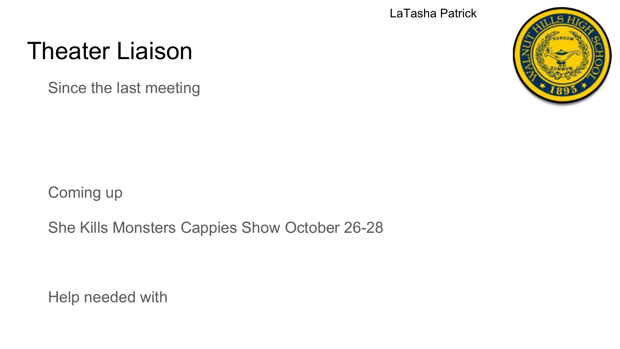LaTasha Patrick

## Theater Liaison

Since the last meeting



Coming up

She Kills Monsters Cappies Show October 26-28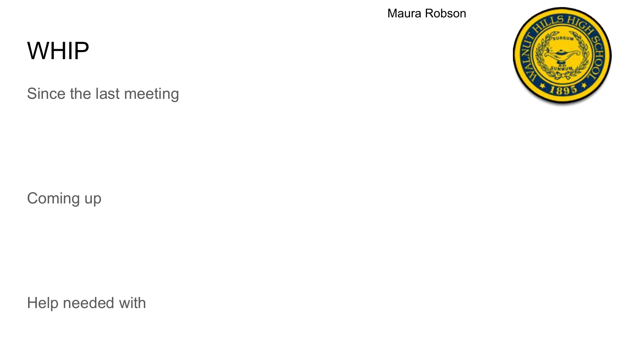### **WHIP**

Since the last meeting

Maura Robson

Coming up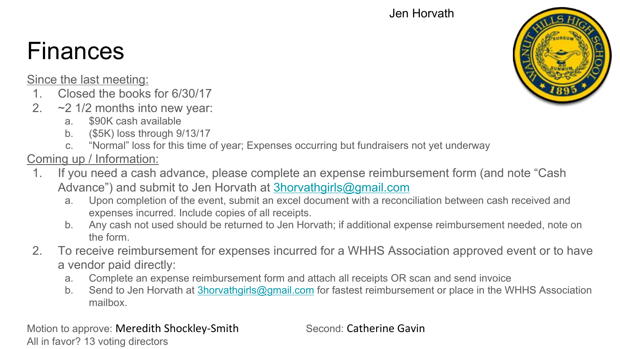#### Jen Horvath

# Finances

Since the last meeting:

- 1. Closed the books for 6/30/17
- 2. ~2 1/2 months into new year:
	- a. \$90K cash available
	- b. (\$5K) loss through 9/13/17
	- c. "Normal" loss for this time of year; Expenses occurring but fundraisers not yet underway

#### Coming up / Information:

- 1. If you need a cash advance, please complete an expense reimbursement form (and note "Cash Advance") and submit to Jen Horvath at [3horvathgirls@gmail.com](mailto:3horvathgirls@gmail.com)
	- a. Upon completion of the event, submit an excel document with a reconciliation between cash received and expenses incurred. Include copies of all receipts.
	- b. Any cash not used should be returned to Jen Horvath; if additional expense reimbursement needed, note on the form.
- 2. To receive reimbursement for expenses incurred for a WHHS Association approved event or to have a vendor paid directly:
	- a. Complete an expense reimbursement form and attach all receipts OR scan and send invoice
	- b. Send to Jen Horvath at [3horvathgirls@gmail.com](mailto:3horvathgirls@gmail.com) for fastest reimbursement or place in the WHHS Association mailbox.

Motion to approve: Meredith Shockley-Smith Second: Catherine Gavin All in favor? 13 voting directors